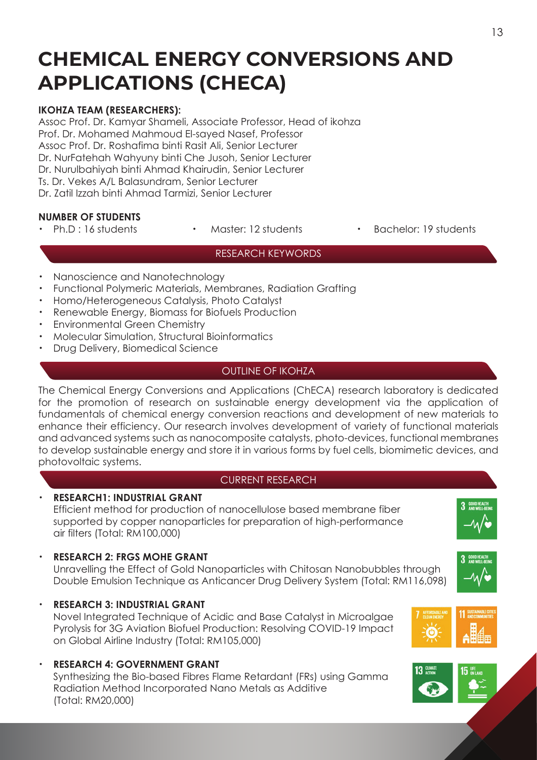# **CHEMICAL ENERGY CONVERSIONS AND APPLICATIONS (CHECA)**

# **IKOHZA TEAM (RESEARCHERS):**

Assoc Prof. Dr. Kamyar Shameli, Associate Professor, Head of ikohza Prof. Dr. Mohamed Mahmoud El-sayed Nasef, Professor Assoc Prof. Dr. Roshafima binti Rasit Ali, Senior Lecturer Dr. NurFatehah Wahyuny binti Che Jusoh, Senior Lecturer Dr. Nurulbahiyah binti Ahmad Khairudin, Senior Lecturer Ts. Dr. Vekes A/L Balasundram, Senior Lecturer Dr. Zatil Izzah binti Ahmad Tarmizi, Senior Lecturer

# **NUMBER OF STUDENTS**

- 
- 
- Ph.D : 16 students · Master: 12 students · Bachelor: 19 students

#### RESEARCH KEYWORDS

- Nanoscience and Nanotechnology
- ・ Functional Polymeric Materials, Membranes, Radiation Grafting
- ・ Homo/Heterogeneous Catalysis, Photo Catalyst
- Renewable Energy, Biomass for Biofuels Production
- **Environmental Green Chemistry**
- Molecular Simulation, Structural Bioinformatics
- Drug Delivery, Biomedical Science

#### OUTLINE OF IKOHZA

The Chemical Energy Conversions and Applications (ChECA) research laboratory is dedicated for the promotion of research on sustainable energy development via the application of fundamentals of chemical energy conversion reactions and development of new materials to enhance their efficiency. Our research involves development of variety of functional materials and advanced systems such as nanocomposite catalysts, photo-devices, functional membranes to develop sustainable energy and store it in various forms by fuel cells, biomimetic devices, and photovoltaic systems.

## CURRENT RESEARCH

## ・ **RESEARCH1: INDUSTRIAL GRANT**

 Efficient method for production of nanocellulose based membrane fiber supported by copper nanoparticles for preparation of high-performance air filters (Total: RM100,000)

#### **RESEARCH 2: FRGS MOHE GRANT**

 Unravelling the Effect of Gold Nanoparticles with Chitosan Nanobubbles through Double Emulsion Technique as Anticancer Drug Delivery System (Total: RM116,098)

・ **RESEARCH 3: INDUSTRIAL GRANT**

 Novel Integrated Technique of Acidic and Base Catalyst in Microalgae Pyrolysis for 3G Aviation Biofuel Production: Resolving COVID-19 Impact on Global Airline Industry (Total: RM105,000)

・ **RESEARCH 4: GOVERNMENT GRANT** Synthesizing the Bio-based Fibres Flame Retardant (FRs) using Gamma Radiation Method Incorporated Nano Metals as Additive (Total: RM20,000)